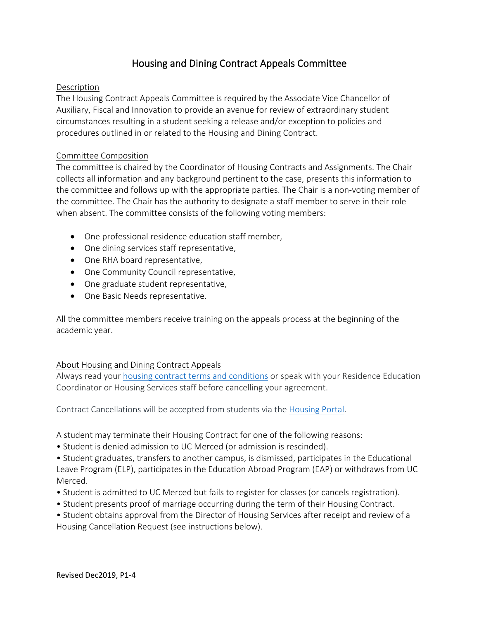# Housing and Dining Contract Appeals Committee

#### Description

The Housing Contract Appeals Committee is required by the Associate Vice Chancellor of Auxiliary, Fiscal and Innovation to provide an avenue for review of extraordinary student circumstances resulting in a student seeking a release and/or exception to policies and procedures outlined in or related to the Housing and Dining Contract.

#### Committee Composition

The committee is chaired by the Coordinator of Housing Contracts and Assignments. The Chair collects all information and any background pertinent to the case, presents this information to the committee and follows up with the appropriate parties. The Chair is a non-voting member of the committee. The Chair has the authority to designate a staff member to serve in their role when absent. The committee consists of the following voting members:

- One professional residence education staff member,
- One dining services staff representative,
- One RHA board representative,
- One Community Council representative,
- One graduate student representative,
- One Basic Needs representative.

All the committee members receive training on the appeals process at the beginning of the academic year.

## About Housing and Dining Contract Appeals

Always read your housing contract [terms and conditions](https://housing.ucmerced.edu/contract) or speak with your Residence Education Coordinator or Housing Services staff before cancelling your agreement.

Contract Cancellations will be accepted from students via the [Housing Portal.](https://ucmerced.starrezhousing.com/StarRezPortalx/Login?returnUrl=%2FStarRezPortalx%2F2A5D75CC%2F1%2F1%2FHome-Home&isContact=False)

A student may terminate their Housing Contract for one of the following reasons:

• Student is denied admission to UC Merced (or admission is rescinded).

• Student graduates, transfers to another campus, is dismissed, participates in the Educational Leave Program (ELP), participates in the Education Abroad Program (EAP) or withdraws from UC Merced.

- Student is admitted to UC Merced but fails to register for classes (or cancels registration).
- Student presents proof of marriage occurring during the term of their Housing Contract.
- Student obtains approval from the Director of Housing Services after receipt and review of a Housing Cancellation Request (see instructions below).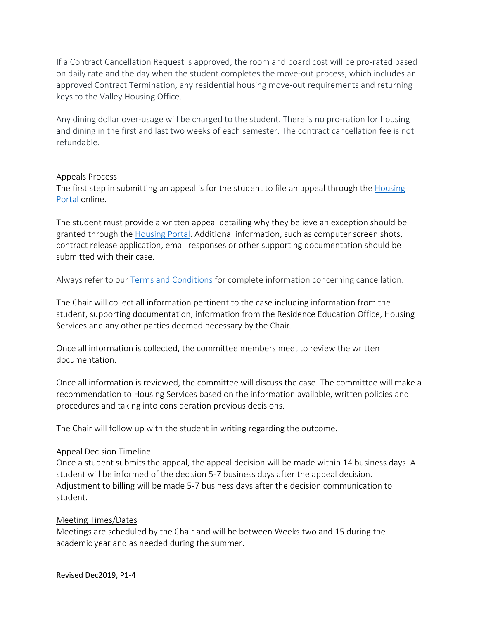If a Contract Cancellation Request is approved, the room and board cost will be pro-rated based on daily rate and the day when the student completes the move-out process, which includes an approved Contract Termination, any residential housing move-out requirements and returning keys to the Valley Housing Office.

Any dining dollar over-usage will be charged to the student. There is no pro-ration for housing and dining in the first and last two weeks of each semester. The contract cancellation fee is not refundable.

#### Appeals Process

The first step in submitting an appeal is for the student to file an appeal through the [Housing](https://ucmerced.starrezhousing.com/StarRezPortalx/Login?returnUrl=%2FStarRezPortalx%2F2A5D75CC%2F1%2F1%2FHome-Home&isContact=False)  [Portal](https://ucmerced.starrezhousing.com/StarRezPortalx/Login?returnUrl=%2FStarRezPortalx%2F2A5D75CC%2F1%2F1%2FHome-Home&isContact=False) online.

The student must provide a written appeal detailing why they believe an exception should be granted through the [Housing Portal.](https://ucmerced.starrezhousing.com/StarRezPortalx/Login?returnUrl=%2FStarRezPortalx%2F2A5D75CC%2F1%2F1%2FHome-Home&isContact=False) Additional information, such as computer screen shots, contract release application, email responses or other supporting documentation should be submitted with their case.

Always refer to our Terms [and Conditions](https://housing.ucmerced.edu/contract) for complete information concerning cancellation.

The Chair will collect all information pertinent to the case including information from the student, supporting documentation, information from the Residence Education Office, Housing Services and any other parties deemed necessary by the Chair.

Once all information is collected, the committee members meet to review the written documentation.

Once all information is reviewed, the committee will discuss the case. The committee will make a recommendation to Housing Services based on the information available, written policies and procedures and taking into consideration previous decisions.

The Chair will follow up with the student in writing regarding the outcome.

#### Appeal Decision Timeline

Once a student submits the appeal, the appeal decision will be made within 14 business days. A student will be informed of the decision 5-7 business days after the appeal decision. Adjustment to billing will be made 5-7 business days after the decision communication to student.

#### Meeting Times/Dates

Meetings are scheduled by the Chair and will be between Weeks two and 15 during the academic year and as needed during the summer.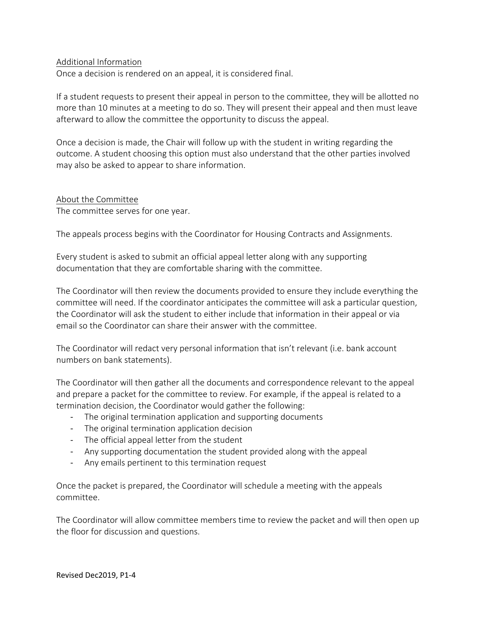#### Additional Information

Once a decision is rendered on an appeal, it is considered final.

If a student requests to present their appeal in person to the committee, they will be allotted no more than 10 minutes at a meeting to do so. They will present their appeal and then must leave afterward to allow the committee the opportunity to discuss the appeal.

Once a decision is made, the Chair will follow up with the student in writing regarding the outcome. A student choosing this option must also understand that the other parties involved may also be asked to appear to share information.

#### About the Committee

The committee serves for one year.

The appeals process begins with the Coordinator for Housing Contracts and Assignments.

Every student is asked to submit an official appeal letter along with any supporting documentation that they are comfortable sharing with the committee.

The Coordinator will then review the documents provided to ensure they include everything the committee will need. If the coordinator anticipates the committee will ask a particular question, the Coordinator will ask the student to either include that information in their appeal or via email so the Coordinator can share their answer with the committee.

The Coordinator will redact very personal information that isn't relevant (i.e. bank account numbers on bank statements).

The Coordinator will then gather all the documents and correspondence relevant to the appeal and prepare a packet for the committee to review. For example, if the appeal is related to a termination decision, the Coordinator would gather the following:

- The original termination application and supporting documents
- The original termination application decision
- The official appeal letter from the student
- Any supporting documentation the student provided along with the appeal
- Any emails pertinent to this termination request

Once the packet is prepared, the Coordinator will schedule a meeting with the appeals committee.

The Coordinator will allow committee members time to review the packet and will then open up the floor for discussion and questions.